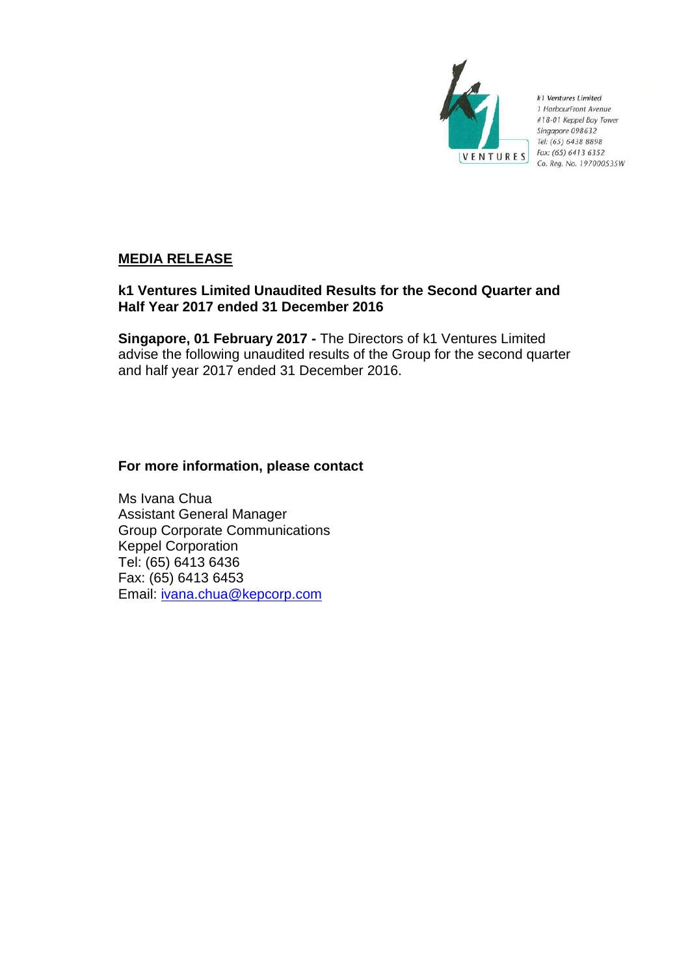

k1 Ventures Limited 1 HarbourFront Avenue #18-01 Keppel Bay Tower Singapore 098632 Tel: (65) 6438 8898 Fax: (65) 6413 6352 Co. Reg. No. 197000535W

# **MEDIA RELEASE**

# **k1 Ventures Limited Unaudited Results for the Second Quarter and Half Year 2017 ended 31 December 2016**

**Singapore, 01 February 2017 -** The Directors of k1 Ventures Limited advise the following unaudited results of the Group for the second quarter and half year 2017 ended 31 December 2016.

## **For more information, please contact**

Ms Ivana Chua Assistant General Manager Group Corporate Communications Keppel Corporation Tel: (65) 6413 6436 Fax: (65) 6413 6453 Email: [ivana.chua@kepcorp.com](mailto:ivana.chua@kepcorp.com)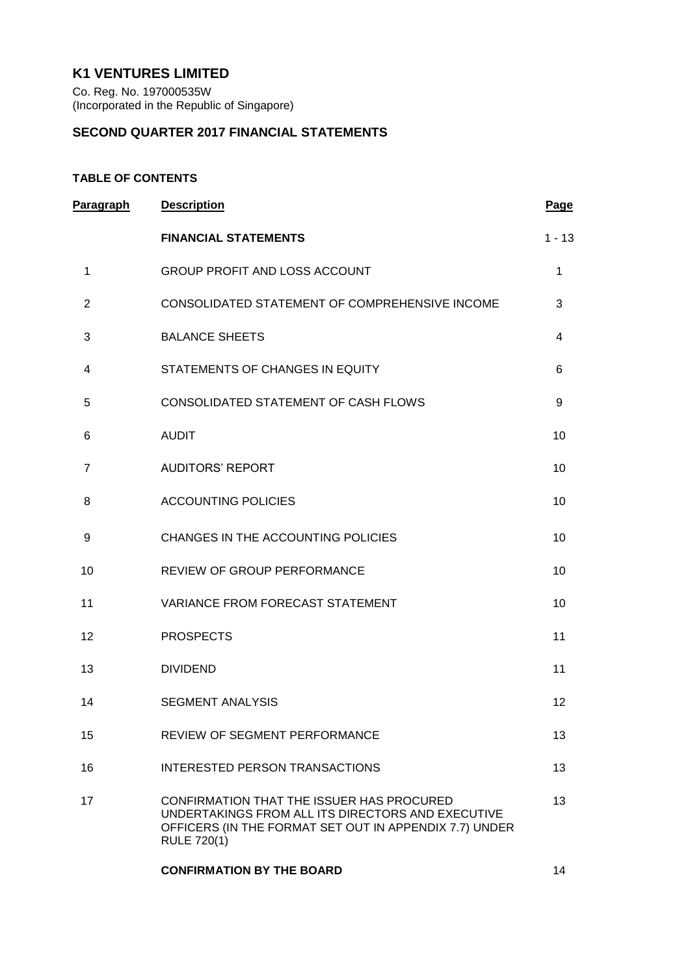# **K1 VENTURES LIMITED**

Co. Reg. No. 197000535W (Incorporated in the Republic of Singapore)

## **SECOND QUARTER 2017 FINANCIAL STATEMENTS**

## **TABLE OF CONTENTS**

| Paragraph      | <b>Description</b>                                                                                                                                                             | <b>Page</b> |
|----------------|--------------------------------------------------------------------------------------------------------------------------------------------------------------------------------|-------------|
|                | <b>FINANCIAL STATEMENTS</b>                                                                                                                                                    | $1 - 13$    |
| 1              | <b>GROUP PROFIT AND LOSS ACCOUNT</b>                                                                                                                                           | 1           |
| $\overline{2}$ | CONSOLIDATED STATEMENT OF COMPREHENSIVE INCOME                                                                                                                                 | 3           |
| 3              | <b>BALANCE SHEETS</b>                                                                                                                                                          | 4           |
| 4              | STATEMENTS OF CHANGES IN EQUITY                                                                                                                                                | 6           |
| 5              | CONSOLIDATED STATEMENT OF CASH FLOWS                                                                                                                                           | 9           |
| 6              | <b>AUDIT</b>                                                                                                                                                                   | 10          |
| $\overline{7}$ | <b>AUDITORS' REPORT</b>                                                                                                                                                        | 10          |
| 8              | <b>ACCOUNTING POLICIES</b>                                                                                                                                                     | 10          |
| 9              | CHANGES IN THE ACCOUNTING POLICIES                                                                                                                                             | 10          |
| 10             | REVIEW OF GROUP PERFORMANCE                                                                                                                                                    | 10          |
| 11             | VARIANCE FROM FORECAST STATEMENT                                                                                                                                               | 10          |
| 12             | <b>PROSPECTS</b>                                                                                                                                                               | 11          |
| 13             | <b>DIVIDEND</b>                                                                                                                                                                | 11          |
| 14             | <b>SEGMENT ANALYSIS</b>                                                                                                                                                        | 12          |
| 15             | <b>REVIEW OF SEGMENT PERFORMANCE</b>                                                                                                                                           | 13          |
| 16             | INTERESTED PERSON TRANSACTIONS                                                                                                                                                 | 13          |
| 17             | CONFIRMATION THAT THE ISSUER HAS PROCURED<br>UNDERTAKINGS FROM ALL ITS DIRECTORS AND EXECUTIVE<br>OFFICERS (IN THE FORMAT SET OUT IN APPENDIX 7.7) UNDER<br><b>RULE 720(1)</b> | 13          |
|                | <b>CONFIRMATION BY THE BOARD</b>                                                                                                                                               | 14          |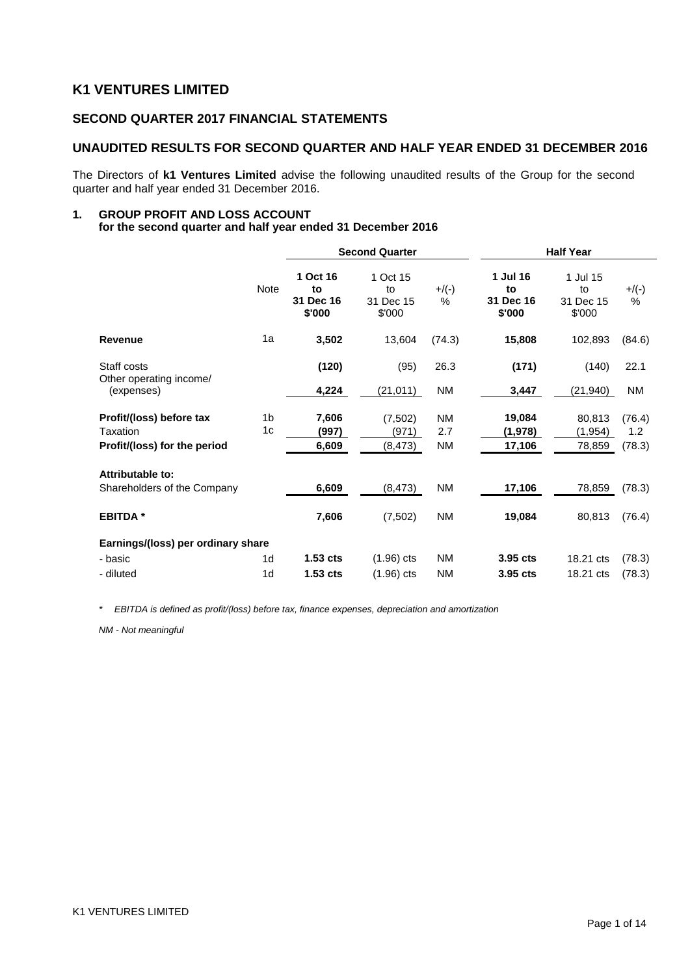## **K1 VENTURES LIMITED**

## **SECOND QUARTER 2017 FINANCIAL STATEMENTS**

## **UNAUDITED RESULTS FOR SECOND QUARTER AND HALF YEAR ENDED 31 DECEMBER 2016**

The Directors of **k1 Ventures Limited** advise the following unaudited results of the Group for the second quarter and half year ended 31 December 2016.

#### **1. GROUP PROFIT AND LOSS ACCOUNT for the second quarter and half year ended 31 December 2016**

|                                                                      |                      | <b>Second Quarter</b>                 |                                       |                        | <b>Half Year</b>                      |                                       |                         |  |
|----------------------------------------------------------------------|----------------------|---------------------------------------|---------------------------------------|------------------------|---------------------------------------|---------------------------------------|-------------------------|--|
|                                                                      | <b>Note</b>          | 1 Oct 16<br>to<br>31 Dec 16<br>\$'000 | 1 Oct 15<br>to<br>31 Dec 15<br>\$'000 | $+$ /(-)<br>%          | 1 Jul 16<br>to<br>31 Dec 16<br>\$'000 | 1 Jul 15<br>to<br>31 Dec 15<br>\$'000 | $+/(-)$<br>$\%$         |  |
| <b>Revenue</b>                                                       | 1a                   | 3,502                                 | 13,604                                | (74.3)                 | 15,808                                | 102,893                               | (84.6)                  |  |
| Staff costs<br>Other operating income/                               |                      | (120)                                 | (95)                                  | 26.3                   | (171)                                 | (140)                                 | 22.1                    |  |
| (expenses)                                                           |                      | 4,224                                 | (21, 011)                             | ΝM                     | 3,447                                 | (21, 940)                             | NM                      |  |
| Profit/(loss) before tax<br>Taxation<br>Profit/(loss) for the period | 1 <sub>b</sub><br>1c | 7,606<br>(997)<br>6,609               | (7, 502)<br>(971)<br>(8, 473)         | <b>NM</b><br>2.7<br>ΝM | 19,084<br>(1,978)<br>17,106           | 80,813<br>(1, 954)<br>78,859          | (76.4)<br>1.2<br>(78.3) |  |
| Attributable to:<br>Shareholders of the Company                      |                      | 6,609                                 | (8,473)                               | <b>NM</b>              | 17,106                                | 78,859                                | (78.3)                  |  |
| <b>EBITDA*</b>                                                       |                      | 7,606                                 | (7,502)                               | ΝM                     | 19,084                                | 80,813                                | (76.4)                  |  |
| Earnings/(loss) per ordinary share                                   |                      |                                       |                                       |                        |                                       |                                       |                         |  |
| - basic                                                              | 1 <sub>d</sub>       | 1.53 <sub>cts</sub>                   | $(1.96)$ cts                          | ΝM                     | 3.95 cts                              | 18.21 cts                             | (78.3)                  |  |
| - diluted                                                            | 1 <sub>d</sub>       | $1.53$ cts                            | $(1.96)$ cts                          | <b>NM</b>              | 3.95 cts                              | 18.21 cts                             | (78.3)                  |  |

*\* EBITDA is defined as profit/(loss) before tax, finance expenses, depreciation and amortization*

*NM - Not meaningful*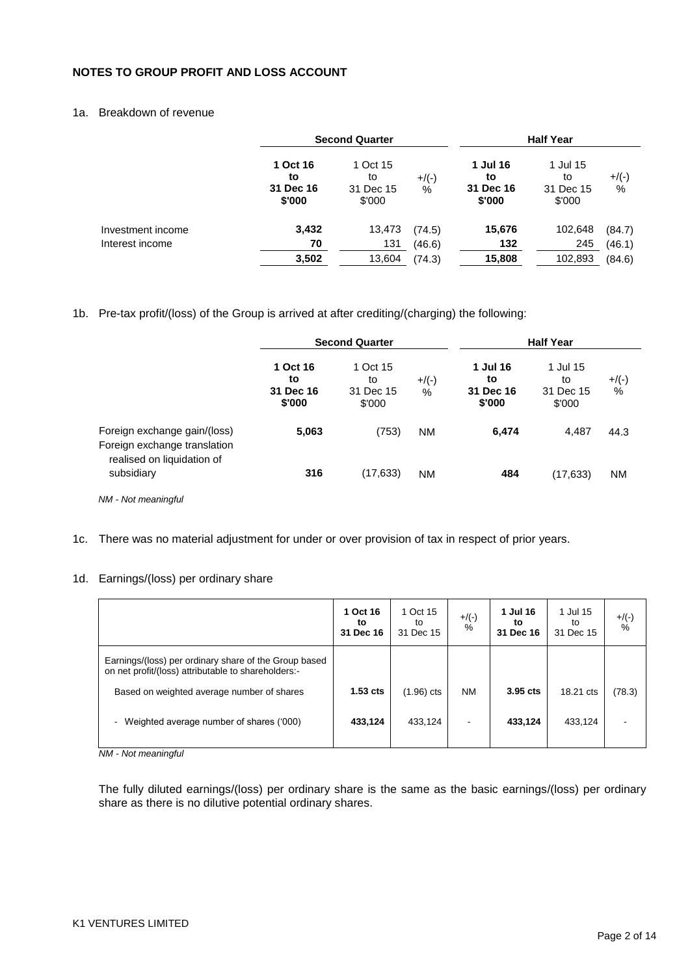## **NOTES TO GROUP PROFIT AND LOSS ACCOUNT**

## 1a. Breakdown of revenue

|                   |                                       | <b>Second Quarter</b>                 |               | <b>Half Year</b>                      |                                       |               |
|-------------------|---------------------------------------|---------------------------------------|---------------|---------------------------------------|---------------------------------------|---------------|
|                   | 1 Oct 16<br>to<br>31 Dec 16<br>\$'000 | 1 Oct 15<br>to<br>31 Dec 15<br>\$'000 | $+$ /(-)<br>% | 1 Jul 16<br>to<br>31 Dec 16<br>\$'000 | 1 Jul 15<br>to<br>31 Dec 15<br>\$'000 | $+$ /(-)<br>% |
| Investment income | 3,432                                 | 13,473                                | (74.5)        | 15,676                                | 102,648                               | (84.7)        |
| Interest income   | 70                                    | 131                                   | (46.6)        | 132                                   | 245                                   | (46.1)        |
|                   | 3,502                                 | 13,604                                | (74.3)        | 15,808                                | 102,893                               | (84.6)        |

### 1b. Pre-tax profit/(loss) of the Group is arrived at after crediting/(charging) the following:

|                                                              |                                       | <b>Second Quarter</b>                 |               | <b>Half Year</b>                      |                                       |               |
|--------------------------------------------------------------|---------------------------------------|---------------------------------------|---------------|---------------------------------------|---------------------------------------|---------------|
|                                                              | 1 Oct 16<br>to<br>31 Dec 16<br>\$'000 | 1 Oct 15<br>to<br>31 Dec 15<br>\$'000 | $+$ /(-)<br>% | 1 Jul 16<br>to<br>31 Dec 16<br>\$'000 | 1 Jul 15<br>to<br>31 Dec 15<br>\$'000 | $+$ /(-)<br>% |
| Foreign exchange gain/(loss)<br>Foreign exchange translation | 5,063                                 | (753)                                 | <b>NM</b>     | 6,474                                 | 4,487                                 | 44.3          |
| realised on liquidation of<br>subsidiary                     | 316                                   | (17, 633)                             | <b>NM</b>     | 484                                   | (17, 633)                             | <b>NM</b>     |

*NM - Not meaningful*

1c. There was no material adjustment for under or over provision of tax in respect of prior years.

#### 1d. Earnings/(loss) per ordinary share

|                                                                                                                                                                           | 1 Oct 16<br>to<br>31 Dec 16 | 1 Oct 15<br>to<br>31 Dec 15 | $+$ /(-)<br>$\frac{0}{0}$ | 1 Jul 16<br>to<br>31 Dec 16 | 1 Jul 15<br>to<br>31 Dec 15 | $+$ /(-)<br>% |
|---------------------------------------------------------------------------------------------------------------------------------------------------------------------------|-----------------------------|-----------------------------|---------------------------|-----------------------------|-----------------------------|---------------|
| Earnings/(loss) per ordinary share of the Group based<br>on net profit/(loss) attributable to shareholders:-                                                              |                             |                             |                           |                             |                             |               |
| Based on weighted average number of shares                                                                                                                                | $1.53$ cts                  | $(1.96)$ cts                | <b>NM</b>                 | 3.95 cts                    | 18.21 cts                   | (78.3)        |
| Weighted average number of shares ('000)<br>$\overline{\phantom{0}}$<br>$\mathbf{A} \mathbf{B} \mathbf{A} = \mathbf{A} \mathbf{I} + \mathbf{I}$ and a set of $\mathbf{A}$ | 433,124                     | 433,124                     | $\overline{\phantom{a}}$  | 433,124                     | 433,124                     |               |

*NM - Not meaningful*

The fully diluted earnings/(loss) per ordinary share is the same as the basic earnings/(loss) per ordinary share as there is no dilutive potential ordinary shares.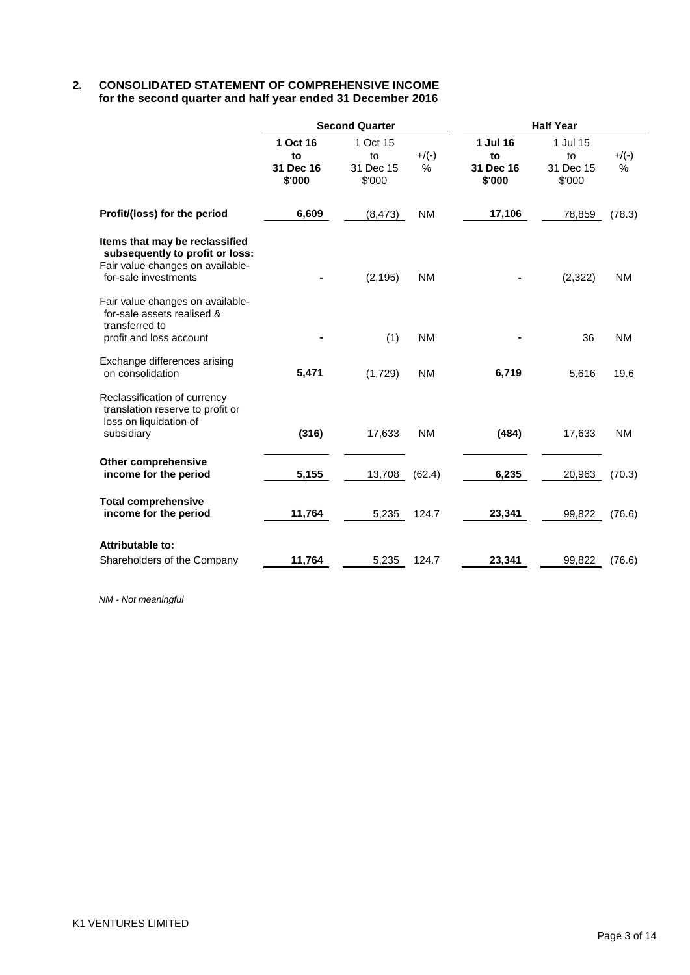## **2. CONSOLIDATED STATEMENT OF COMPREHENSIVE INCOME for the second quarter and half year ended 31 December 2016**

|                                                                                                                               |                                       | <b>Second Quarter</b>                 |               | <b>Half Year</b>                      |                                       |               |  |
|-------------------------------------------------------------------------------------------------------------------------------|---------------------------------------|---------------------------------------|---------------|---------------------------------------|---------------------------------------|---------------|--|
|                                                                                                                               | 1 Oct 16<br>to<br>31 Dec 16<br>\$'000 | 1 Oct 15<br>to<br>31 Dec 15<br>\$'000 | $+$ /(-)<br>% | 1 Jul 16<br>to<br>31 Dec 16<br>\$'000 | 1 Jul 15<br>to<br>31 Dec 15<br>\$'000 | $+$ /(-)<br>% |  |
| Profit/(loss) for the period                                                                                                  | 6,609                                 | (8, 473)                              | <b>NM</b>     | 17,106                                | 78,859                                | (78.3)        |  |
| Items that may be reclassified<br>subsequently to profit or loss:<br>Fair value changes on available-<br>for-sale investments |                                       | (2, 195)                              | <b>NM</b>     |                                       | (2, 322)                              | <b>NM</b>     |  |
| Fair value changes on available-<br>for-sale assets realised &<br>transferred to<br>profit and loss account                   |                                       | (1)                                   | <b>NM</b>     |                                       | 36                                    | <b>NM</b>     |  |
| Exchange differences arising<br>on consolidation                                                                              | 5,471                                 | (1,729)                               | <b>NM</b>     | 6,719                                 | 5,616                                 | 19.6          |  |
| Reclassification of currency<br>translation reserve to profit or<br>loss on liquidation of<br>subsidiary                      | (316)                                 | 17,633                                | <b>NM</b>     | (484)                                 | 17,633                                | <b>NM</b>     |  |
| Other comprehensive<br>income for the period                                                                                  | 5,155                                 | 13,708                                | (62.4)        | 6,235                                 | 20,963                                | (70.3)        |  |
| <b>Total comprehensive</b><br>income for the period                                                                           | 11,764                                | 5,235                                 | 124.7         | 23,341                                | 99,822                                | (76.6)        |  |
| <b>Attributable to:</b><br>Shareholders of the Company                                                                        | 11,764                                | 5,235                                 | 124.7         | 23,341                                | 99,822                                | (76.6)        |  |

*NM - Not meaningful*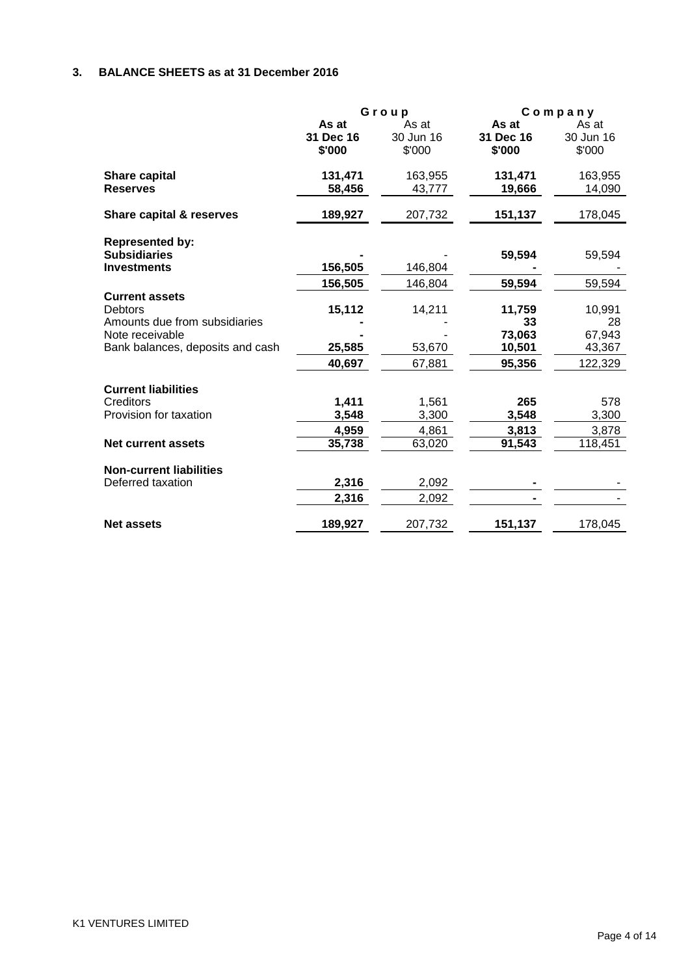# **3. BALANCE SHEETS as at 31 December 2016**

|                                                                                                                                 |                              | Group                        | Company                                    |                                             |  |
|---------------------------------------------------------------------------------------------------------------------------------|------------------------------|------------------------------|--------------------------------------------|---------------------------------------------|--|
|                                                                                                                                 | As at<br>31 Dec 16<br>\$'000 | As at<br>30 Jun 16<br>\$'000 | As at<br>31 Dec 16<br>\$'000               | As at<br>30 Jun 16<br>\$'000                |  |
| Share capital<br><b>Reserves</b>                                                                                                | 131,471<br>58,456            | 163,955<br>43,777            | 131,471<br>19,666                          | 163,955<br>14,090                           |  |
| Share capital & reserves                                                                                                        | 189,927                      | 207,732                      | 151,137                                    | 178,045                                     |  |
| <b>Represented by:</b><br><b>Subsidiaries</b>                                                                                   |                              |                              | 59,594                                     | 59,594                                      |  |
| <b>Investments</b>                                                                                                              | 156,505<br>156,505           | 146,804<br>146,804           | 59,594                                     | 59,594                                      |  |
| <b>Current assets</b><br><b>Debtors</b><br>Amounts due from subsidiaries<br>Note receivable<br>Bank balances, deposits and cash | 15,112<br>25,585<br>40,697   | 14,211<br>53,670<br>67,881   | 11,759<br>33<br>73,063<br>10,501<br>95,356 | 10,991<br>28<br>67,943<br>43,367<br>122,329 |  |
| <b>Current liabilities</b><br>Creditors<br>Provision for taxation                                                               | 1,411<br>3,548<br>4,959      | 1,561<br>3,300<br>4,861      | 265<br>3,548<br>3,813                      | 578<br>3,300<br>3,878                       |  |
| <b>Net current assets</b>                                                                                                       | 35,738                       | 63,020                       | 91,543                                     | 118,451                                     |  |
| <b>Non-current liabilities</b><br>Deferred taxation                                                                             | 2,316<br>2,316               | 2,092<br>2,092               |                                            |                                             |  |
| <b>Net assets</b>                                                                                                               | 189,927                      | 207,732                      | 151,137                                    | 178,045                                     |  |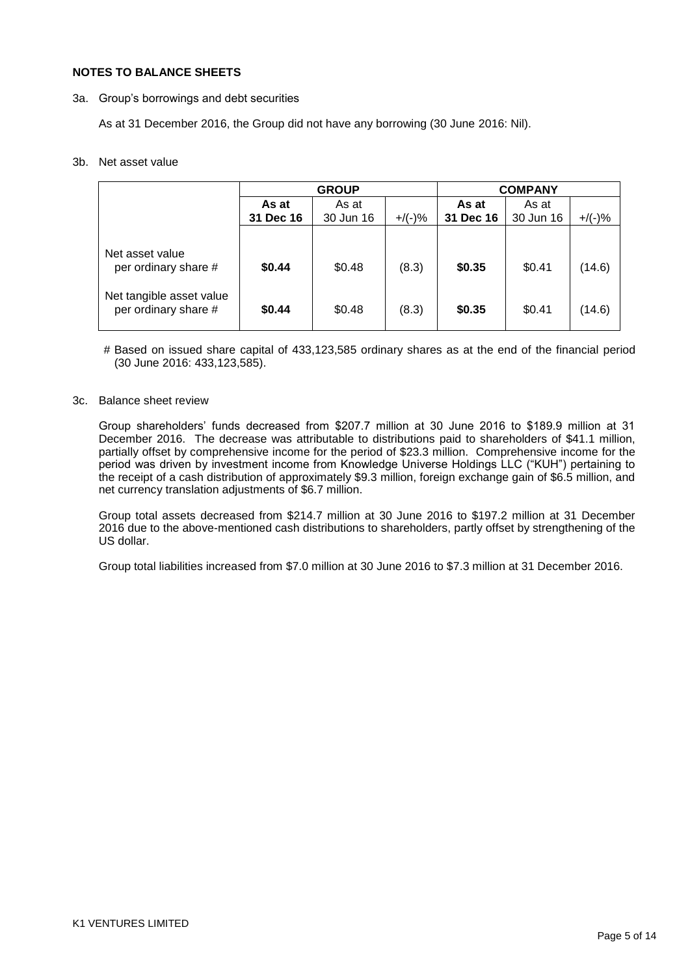#### **NOTES TO BALANCE SHEETS**

3a. Group"s borrowings and debt securities

As at 31 December 2016, the Group did not have any borrowing (30 June 2016: Nil).

#### 3b. Net asset value

|                                                  |           | <b>GROUP</b> | COMPANY   |           |           |           |
|--------------------------------------------------|-----------|--------------|-----------|-----------|-----------|-----------|
|                                                  | As at     | As at        |           | As at     | As at     |           |
|                                                  | 31 Dec 16 | 30 Jun 16    | $+/(-)$ % | 31 Dec 16 | 30 Jun 16 | $+/(-)$ % |
|                                                  |           |              |           |           |           |           |
| Net asset value<br>per ordinary share #          | \$0.44    | \$0.48       | (8.3)     | \$0.35    | \$0.41    | (14.6)    |
| Net tangible asset value<br>per ordinary share # | \$0.44    | \$0.48       | (8.3)     | \$0.35    | \$0.41    | (14.6)    |

# Based on issued share capital of 433,123,585 ordinary shares as at the end of the financial period (30 June 2016: 433,123,585).

### 3c. Balance sheet review

Group shareholders" funds decreased from \$207.7 million at 30 June 2016 to \$189.9 million at 31 December 2016. The decrease was attributable to distributions paid to shareholders of \$41.1 million, partially offset by comprehensive income for the period of \$23.3 million. Comprehensive income for the period was driven by investment income from Knowledge Universe Holdings LLC ("KUH") pertaining to the receipt of a cash distribution of approximately \$9.3 million, foreign exchange gain of \$6.5 million, and net currency translation adjustments of \$6.7 million.

Group total assets decreased from \$214.7 million at 30 June 2016 to \$197.2 million at 31 December 2016 due to the above-mentioned cash distributions to shareholders, partly offset by strengthening of the US dollar.

Group total liabilities increased from \$7.0 million at 30 June 2016 to \$7.3 million at 31 December 2016.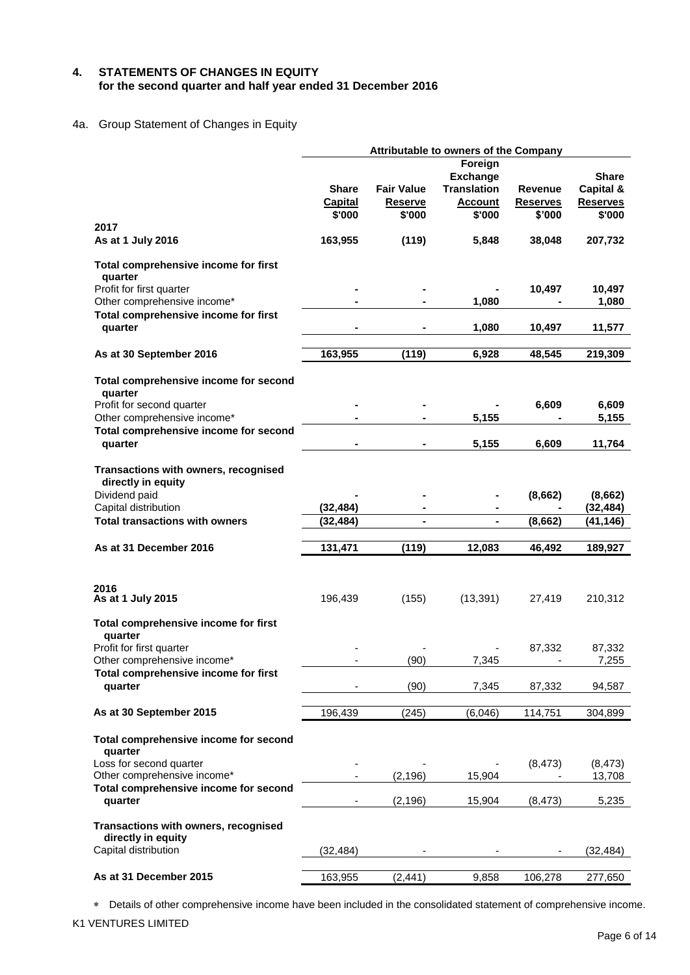## **4. STATEMENTS OF CHANGES IN EQUITY for the second quarter and half year ended 31 December 2016**

## 4a. Group Statement of Changes in Equity

|                                                                                    | Attributable to owners of the Company |                   |                    |                 |                 |  |  |  |
|------------------------------------------------------------------------------------|---------------------------------------|-------------------|--------------------|-----------------|-----------------|--|--|--|
|                                                                                    |                                       |                   | Foreign            |                 |                 |  |  |  |
|                                                                                    |                                       |                   | <b>Exchange</b>    |                 | <b>Share</b>    |  |  |  |
|                                                                                    | Share                                 | <b>Fair Value</b> | <b>Translation</b> | Revenue         | Capital &       |  |  |  |
|                                                                                    | <b>Capital</b>                        | <b>Reserve</b>    | <b>Account</b>     | <b>Reserves</b> | <b>Reserves</b> |  |  |  |
|                                                                                    | \$'000                                | \$'000            | \$'000             | \$'000          | \$'000          |  |  |  |
| 2017                                                                               |                                       |                   |                    |                 |                 |  |  |  |
| As at 1 July 2016                                                                  | 163,955                               | (119)             | 5,848              | 38,048          | 207,732         |  |  |  |
| Total comprehensive income for first<br>quarter                                    |                                       |                   |                    |                 |                 |  |  |  |
| Profit for first quarter                                                           |                                       |                   |                    | 10,497          | 10,497          |  |  |  |
| Other comprehensive income*                                                        |                                       |                   | 1,080              |                 | 1,080           |  |  |  |
| Total comprehensive income for first                                               |                                       |                   |                    |                 |                 |  |  |  |
| quarter                                                                            |                                       |                   | 1,080              | 10,497          | 11,577          |  |  |  |
|                                                                                    |                                       |                   |                    |                 |                 |  |  |  |
| As at 30 September 2016                                                            | 163,955                               | (119)             | 6,928              | 48,545          | 219,309         |  |  |  |
| Total comprehensive income for second<br>quarter                                   |                                       |                   |                    |                 |                 |  |  |  |
| Profit for second quarter                                                          |                                       |                   |                    | 6,609           | 6,609           |  |  |  |
| Other comprehensive income*                                                        |                                       |                   | 5,155              |                 | 5,155           |  |  |  |
| Total comprehensive income for second                                              |                                       |                   |                    |                 |                 |  |  |  |
| quarter                                                                            |                                       |                   | 5,155              | 6,609           | 11,764          |  |  |  |
| Transactions with owners, recognised<br>directly in equity                         |                                       |                   |                    |                 |                 |  |  |  |
| Dividend paid                                                                      |                                       |                   |                    | (8,662)         | (8,662)         |  |  |  |
| Capital distribution                                                               | (32, 484)                             |                   |                    |                 | (32, 484)       |  |  |  |
| <b>Total transactions with owners</b>                                              | (32, 484)                             | $\blacksquare$    | Ξ.                 | (8,662)         | (41, 146)       |  |  |  |
|                                                                                    |                                       |                   |                    |                 |                 |  |  |  |
| As at 31 December 2016                                                             | 131,471                               | (119)             | 12,083             | 46,492          | 189,927         |  |  |  |
|                                                                                    |                                       |                   |                    |                 |                 |  |  |  |
| 2016<br>As at 1 July 2015                                                          | 196,439                               | (155)             | (13, 391)          | 27,419          | 210,312         |  |  |  |
| Total comprehensive income for first<br>quarter                                    |                                       |                   |                    |                 |                 |  |  |  |
| Profit for first quarter                                                           |                                       |                   |                    | 87,332          | 87,332          |  |  |  |
| Other comprehensive income*                                                        |                                       | (90)              | 7,345              |                 | 7,255           |  |  |  |
| Total comprehensive income for first<br>quarter                                    |                                       | (90)              | 7,345              | 87,332          | 94,587          |  |  |  |
| As at 30 September 2015                                                            | 196,439                               | (245)             | (6,046)            | 114,751         | 304,899         |  |  |  |
|                                                                                    |                                       |                   |                    |                 |                 |  |  |  |
| Total comprehensive income for second<br>quarter                                   |                                       |                   |                    |                 |                 |  |  |  |
| Loss for second quarter                                                            |                                       |                   |                    | (8, 473)        | (8, 473)        |  |  |  |
| Other comprehensive income*                                                        |                                       | (2, 196)          | 15,904             |                 | 13,708          |  |  |  |
| Total comprehensive income for second<br>quarter                                   |                                       | (2, 196)          | 15,904             | (8, 473)        | 5,235           |  |  |  |
|                                                                                    |                                       |                   |                    |                 |                 |  |  |  |
| Transactions with owners, recognised<br>directly in equity<br>Capital distribution |                                       |                   |                    |                 |                 |  |  |  |
|                                                                                    | (32,484)                              |                   |                    |                 | (32, 484)       |  |  |  |
| As at 31 December 2015                                                             | 163,955                               | (2, 441)          | 9,858              | 106,278         | 277,650         |  |  |  |
|                                                                                    |                                       |                   |                    |                 |                 |  |  |  |

Details of other comprehensive income have been included in the consolidated statement of comprehensive income.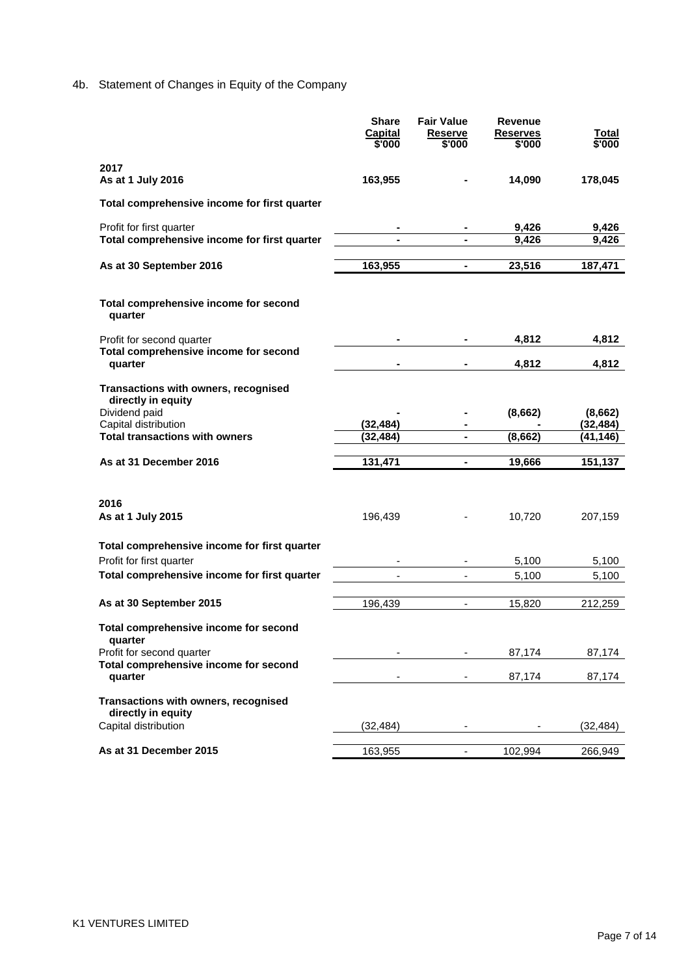# 4b. Statement of Changes in Equity of the Company

|                                                                                                                                              | <b>Share</b><br><b>Capital</b><br>\$'000 | <b>Fair Value</b><br>Reserve<br>\$'000 | Revenue<br><b>Reserves</b><br>\$'000 | Total<br>\$'000                   |
|----------------------------------------------------------------------------------------------------------------------------------------------|------------------------------------------|----------------------------------------|--------------------------------------|-----------------------------------|
| 2017<br>As at 1 July 2016                                                                                                                    | 163,955                                  |                                        | 14,090                               | 178,045                           |
| Total comprehensive income for first quarter                                                                                                 |                                          |                                        |                                      |                                   |
| Profit for first quarter<br>Total comprehensive income for first quarter                                                                     |                                          |                                        | 9,426<br>9,426                       | 9,426<br>9,426                    |
| As at 30 September 2016                                                                                                                      | 163,955                                  | $\blacksquare$                         | 23,516                               | 187,471                           |
| Total comprehensive income for second<br>quarter                                                                                             |                                          |                                        |                                      |                                   |
| Profit for second quarter<br>Total comprehensive income for second                                                                           |                                          |                                        | 4,812                                | 4,812                             |
| quarter                                                                                                                                      |                                          |                                        | 4,812                                | 4,812                             |
| Transactions with owners, recognised<br>directly in equity<br>Dividend paid<br>Capital distribution<br><b>Total transactions with owners</b> | (32, 484)<br>(32, 484)                   |                                        | (8,662)<br>(8,662)                   | (8,662)<br>(32, 484)<br>(41, 146) |
| As at 31 December 2016                                                                                                                       | 131,471                                  | $\blacksquare$                         | 19,666                               | 151,137                           |
| 2016<br>As at 1 July 2015                                                                                                                    | 196,439                                  |                                        | 10,720                               | 207,159                           |
| Total comprehensive income for first quarter<br>Profit for first quarter                                                                     |                                          |                                        | 5,100                                | 5,100                             |
| Total comprehensive income for first quarter                                                                                                 |                                          | $\overline{\phantom{a}}$               | 5,100                                | 5,100                             |
| As at 30 September 2015                                                                                                                      | 196,439                                  | $\overline{\phantom{a}}$               | 15,820                               | 212,259                           |
| Total comprehensive income for second<br>quarter<br>Profit for second quarter                                                                |                                          |                                        | 87,174                               | 87,174                            |
| Total comprehensive income for second<br>quarter                                                                                             |                                          |                                        | 87,174                               | 87,174                            |
| Transactions with owners, recognised<br>directly in equity                                                                                   |                                          |                                        |                                      |                                   |
| Capital distribution                                                                                                                         | (32, 484)                                |                                        |                                      | (32, 484)                         |
| As at 31 December 2015                                                                                                                       | 163,955                                  |                                        | 102,994                              | 266,949                           |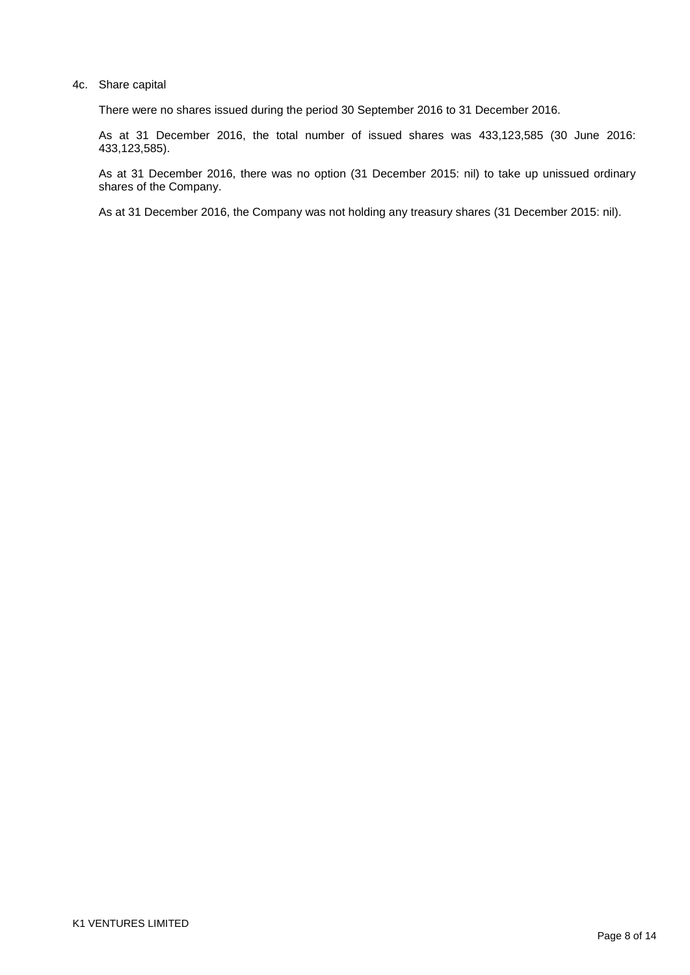#### 4c. Share capital

There were no shares issued during the period 30 September 2016 to 31 December 2016.

As at 31 December 2016, the total number of issued shares was 433,123,585 (30 June 2016: 433,123,585).

As at 31 December 2016, there was no option (31 December 2015: nil) to take up unissued ordinary shares of the Company.

As at 31 December 2016, the Company was not holding any treasury shares (31 December 2015: nil).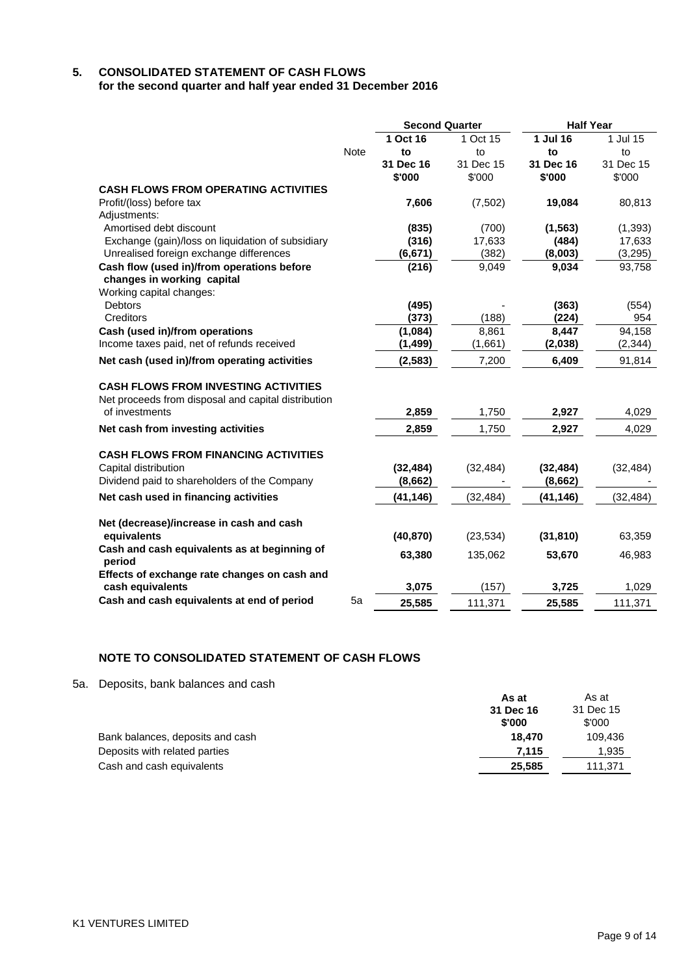## **5. CONSOLIDATED STATEMENT OF CASH FLOWS for the second quarter and half year ended 31 December 2016**

|                                                        |             | <b>Second Quarter</b> |           | <b>Half Year</b> |           |  |
|--------------------------------------------------------|-------------|-----------------------|-----------|------------------|-----------|--|
|                                                        |             | 1 Oct 16              | 1 Oct 15  | 1 Jul 16         | 1 Jul 15  |  |
|                                                        | <b>Note</b> | to                    | to        | to               | to        |  |
|                                                        |             | 31 Dec 16             | 31 Dec 15 | 31 Dec 16        | 31 Dec 15 |  |
|                                                        |             | \$'000                | \$'000    | \$'000           | \$'000    |  |
| <b>CASH FLOWS FROM OPERATING ACTIVITIES</b>            |             |                       |           |                  |           |  |
| Profit/(loss) before tax                               |             | 7,606                 | (7,502)   | 19,084           | 80,813    |  |
| Adjustments:                                           |             |                       |           |                  |           |  |
| Amortised debt discount                                |             | (835)                 | (700)     | (1, 563)         | (1, 393)  |  |
| Exchange (gain)/loss on liquidation of subsidiary      |             | (316)                 | 17,633    | (484)            | 17,633    |  |
| Unrealised foreign exchange differences                |             | (6, 671)              | (382)     | (8,003)          | (3, 295)  |  |
| Cash flow (used in)/from operations before             |             | (216)                 | 9,049     | 9,034            | 93,758    |  |
| changes in working capital                             |             |                       |           |                  |           |  |
| Working capital changes:                               |             |                       |           |                  |           |  |
| <b>Debtors</b>                                         |             | (495)                 |           | (363)            | (554)     |  |
| Creditors                                              |             | (373)                 | (188)     | (224)            | 954       |  |
| Cash (used in)/from operations                         |             | (1,084)               | 8,861     | 8,447            | 94,158    |  |
| Income taxes paid, net of refunds received             |             | (1, 499)              | (1,661)   | (2,038)          | (2, 344)  |  |
| Net cash (used in)/from operating activities           |             | (2, 583)              | 7,200     | 6,409            | 91,814    |  |
| <b>CASH FLOWS FROM INVESTING ACTIVITIES</b>            |             |                       |           |                  |           |  |
| Net proceeds from disposal and capital distribution    |             |                       |           |                  |           |  |
| of investments                                         |             | 2,859                 | 1,750     | 2,927            | 4,029     |  |
| Net cash from investing activities                     |             | 2,859                 | 1,750     | 2,927            | 4,029     |  |
| <b>CASH FLOWS FROM FINANCING ACTIVITIES</b>            |             |                       |           |                  |           |  |
| Capital distribution                                   |             | (32, 484)             | (32, 484) | (32, 484)        | (32, 484) |  |
| Dividend paid to shareholders of the Company           |             | (8,662)               |           | (8,662)          |           |  |
| Net cash used in financing activities                  |             | (41, 146)             | (32, 484) | (41, 146)        | (32, 484) |  |
|                                                        |             |                       |           |                  |           |  |
| Net (decrease)/increase in cash and cash               |             |                       |           |                  |           |  |
| equivalents                                            |             | (40, 870)             | (23, 534) | (31, 810)        | 63,359    |  |
| Cash and cash equivalents as at beginning of<br>period |             | 63,380                | 135,062   | 53,670           | 46,983    |  |
| Effects of exchange rate changes on cash and           |             |                       |           |                  |           |  |
| cash equivalents                                       |             | 3,075                 | (157)     | 3,725            | 1,029     |  |
| Cash and cash equivalents at end of period             | 5a          | 25,585                | 111,371   | 25,585           | 111,371   |  |

## **NOTE TO CONSOLIDATED STATEMENT OF CASH FLOWS**

5a. Deposits, bank balances and cash

| <u>Dopoonto, bariit baiarioco aria oaon</u> | As at<br>31 Dec 16<br>\$'000 | As at<br>31 Dec 15<br>\$'000 |
|---------------------------------------------|------------------------------|------------------------------|
| Bank balances, deposits and cash            | 18.470                       | 109.436                      |
| Deposits with related parties               | 7.115                        | 1,935                        |
| Cash and cash equivalents                   | 25.585                       | 111,371                      |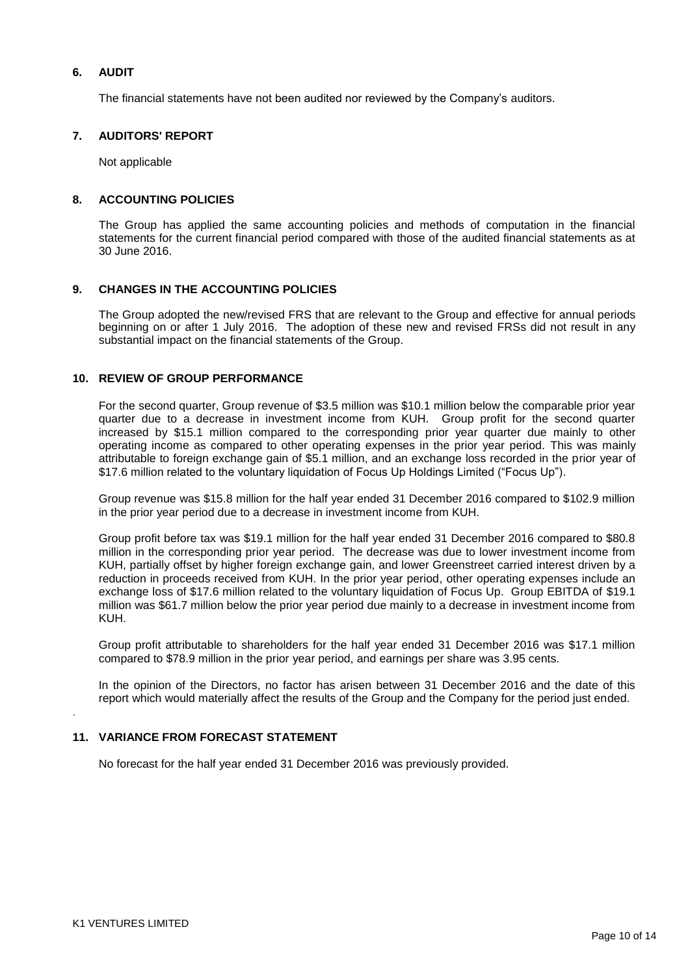## **6. AUDIT**

The financial statements have not been audited nor reviewed by the Company"s auditors.

#### **7. AUDITORS' REPORT**

Not applicable

#### **8. ACCOUNTING POLICIES**

The Group has applied the same accounting policies and methods of computation in the financial statements for the current financial period compared with those of the audited financial statements as at 30 June 2016.

#### **9. CHANGES IN THE ACCOUNTING POLICIES**

The Group adopted the new/revised FRS that are relevant to the Group and effective for annual periods beginning on or after 1 July 2016. The adoption of these new and revised FRSs did not result in any substantial impact on the financial statements of the Group.

### **10. REVIEW OF GROUP PERFORMANCE**

For the second quarter, Group revenue of \$3.5 million was \$10.1 million below the comparable prior year quarter due to a decrease in investment income from KUH. Group profit for the second quarter increased by \$15.1 million compared to the corresponding prior year quarter due mainly to other operating income as compared to other operating expenses in the prior year period. This was mainly attributable to foreign exchange gain of \$5.1 million, and an exchange loss recorded in the prior year of \$17.6 million related to the voluntary liquidation of Focus Up Holdings Limited ("Focus Up").

Group revenue was \$15.8 million for the half year ended 31 December 2016 compared to \$102.9 million in the prior year period due to a decrease in investment income from KUH.

Group profit before tax was \$19.1 million for the half year ended 31 December 2016 compared to \$80.8 million in the corresponding prior year period. The decrease was due to lower investment income from KUH, partially offset by higher foreign exchange gain, and lower Greenstreet carried interest driven by a reduction in proceeds received from KUH. In the prior year period, other operating expenses include an exchange loss of \$17.6 million related to the voluntary liquidation of Focus Up. Group EBITDA of \$19.1 million was \$61.7 million below the prior year period due mainly to a decrease in investment income from KUH.

Group profit attributable to shareholders for the half year ended 31 December 2016 was \$17.1 million compared to \$78.9 million in the prior year period, and earnings per share was 3.95 cents.

In the opinion of the Directors, no factor has arisen between 31 December 2016 and the date of this report which would materially affect the results of the Group and the Company for the period just ended.

#### **11. VARIANCE FROM FORECAST STATEMENT**

No forecast for the half year ended 31 December 2016 was previously provided.

.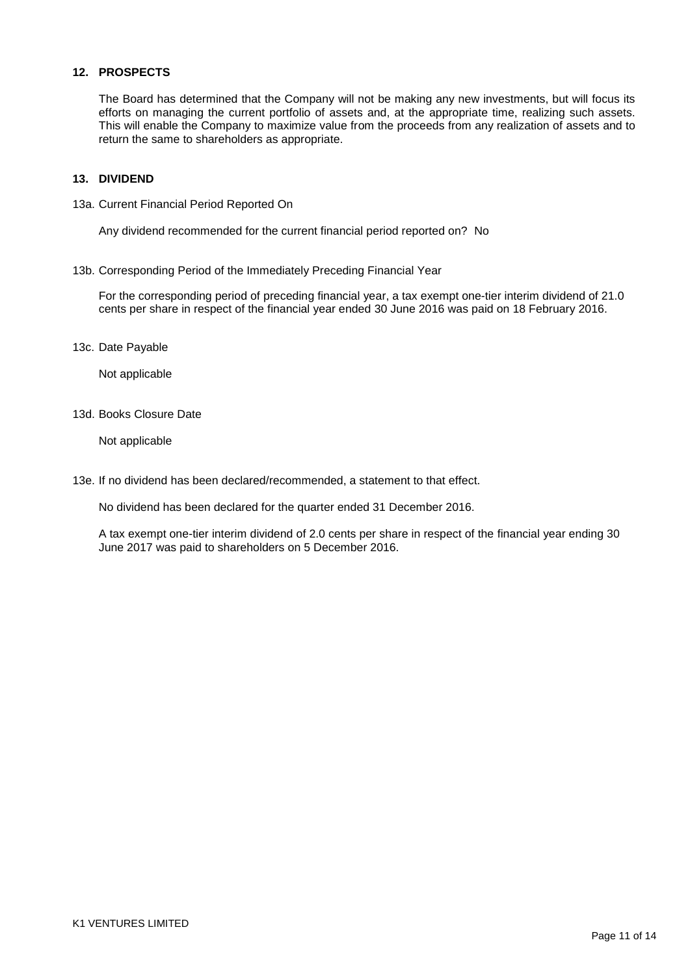#### **12. PROSPECTS**

The Board has determined that the Company will not be making any new investments, but will focus its efforts on managing the current portfolio of assets and, at the appropriate time, realizing such assets. This will enable the Company to maximize value from the proceeds from any realization of assets and to return the same to shareholders as appropriate.

#### **13. DIVIDEND**

13a. Current Financial Period Reported On

Any dividend recommended for the current financial period reported on? No

13b. Corresponding Period of the Immediately Preceding Financial Year

For the corresponding period of preceding financial year, a tax exempt one-tier interim dividend of 21.0 cents per share in respect of the financial year ended 30 June 2016 was paid on 18 February 2016.

13c. Date Payable

Not applicable

13d. Books Closure Date

Not applicable

13e. If no dividend has been declared/recommended, a statement to that effect.

No dividend has been declared for the quarter ended 31 December 2016.

A tax exempt one-tier interim dividend of 2.0 cents per share in respect of the financial year ending 30 June 2017 was paid to shareholders on 5 December 2016.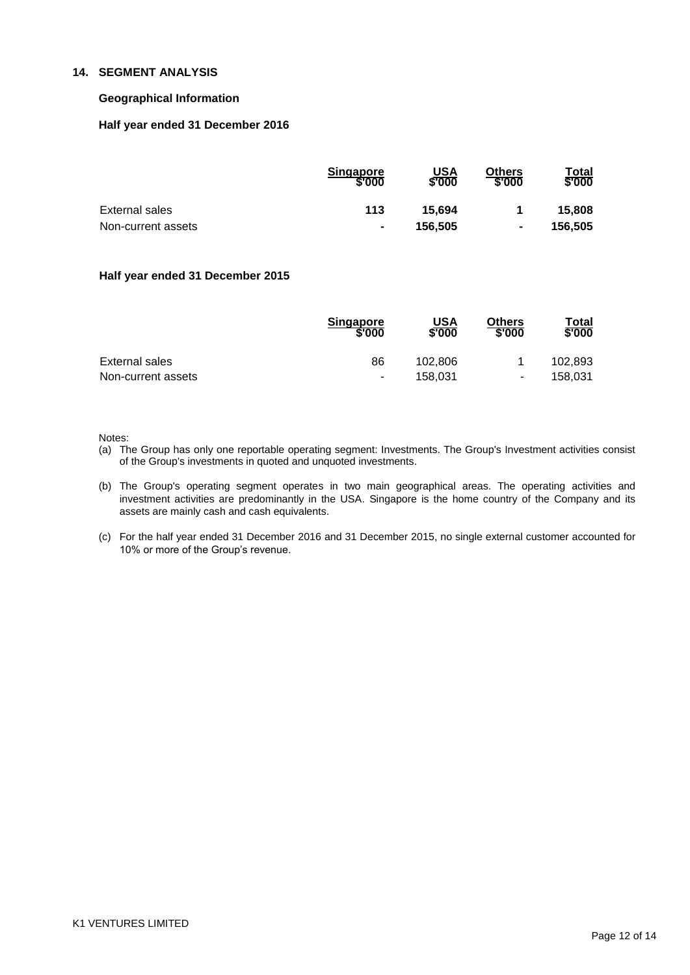### **14. SEGMENT ANALYSIS**

#### **Geographical Information**

#### **Half year ended 31 December 2016**

|                    | <b>Singapore</b><br>\$'000 | USA<br>\$'000 | Others<br>\$'000 | Total<br>\$'000 |
|--------------------|----------------------------|---------------|------------------|-----------------|
| External sales     | 113                        | 15.694        |                  | 15.808          |
| Non-current assets | $\blacksquare$             | 156.505       | $\blacksquare$   | 156,505         |

#### **Half year ended 31 December 2015**

|                    | <b>Singapore</b><br>\$'000 | USA<br>\$'000 | <b>Others</b><br>\$'000 | Total<br>\$'000 |
|--------------------|----------------------------|---------------|-------------------------|-----------------|
| External sales     | 86                         | 102.806       |                         | 102.893         |
| Non-current assets | ٠                          | 158.031       | $\blacksquare$          | 158.031         |

Notes:

- (a) The Group has only one reportable operating segment: Investments. The Group's Investment activities consist of the Group's investments in quoted and unquoted investments.
- (b) The Group's operating segment operates in two main geographical areas. The operating activities and investment activities are predominantly in the USA. Singapore is the home country of the Company and its assets are mainly cash and cash equivalents.
- (c) For the half year ended 31 December 2016 and 31 December 2015, no single external customer accounted for 10% or more of the Group"s revenue.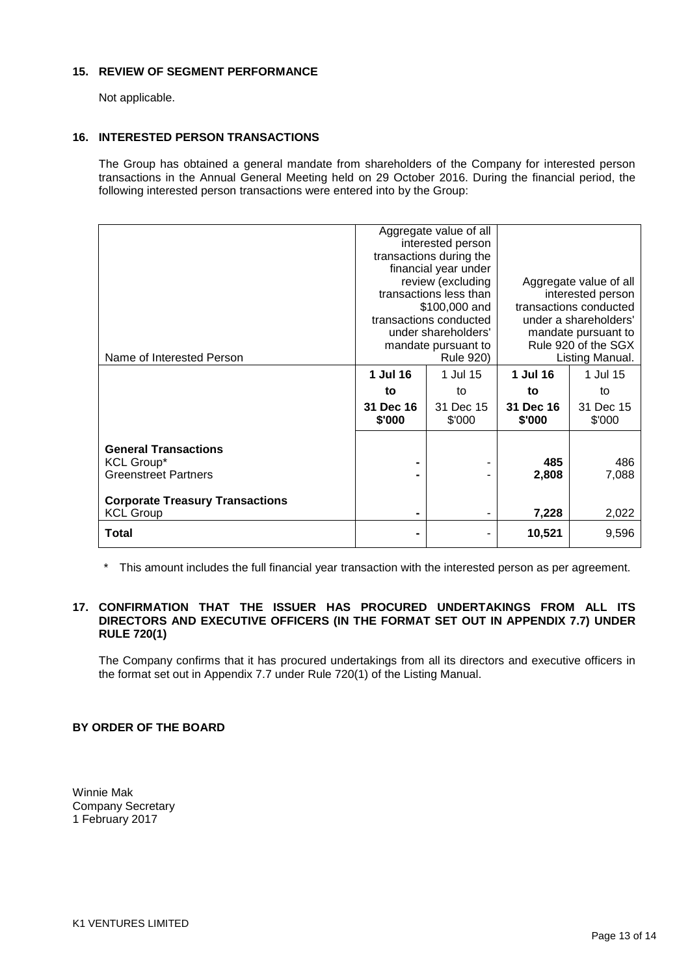#### **15. REVIEW OF SEGMENT PERFORMANCE**

Not applicable.

## **16. INTERESTED PERSON TRANSACTIONS**

The Group has obtained a general mandate from shareholders of the Company for interested person transactions in the Annual General Meeting held on 29 October 2016. During the financial period, the following interested person transactions were entered into by the Group:

| Name of Interested Person                                                       | Aggregate value of all<br>interested person<br>transactions during the<br>financial year under<br>review (excluding<br>transactions less than<br>\$100,000 and<br>transactions conducted<br>under shareholders'<br>mandate pursuant to<br><b>Rule 920)</b> |                     | Aggregate value of all<br>interested person<br>transactions conducted<br>under a shareholders'<br>mandate pursuant to<br>Rule 920 of the SGX<br>Listing Manual. |                     |
|---------------------------------------------------------------------------------|------------------------------------------------------------------------------------------------------------------------------------------------------------------------------------------------------------------------------------------------------------|---------------------|-----------------------------------------------------------------------------------------------------------------------------------------------------------------|---------------------|
|                                                                                 | 1 Jul 16                                                                                                                                                                                                                                                   | 1 Jul 15            | 1 Jul 16                                                                                                                                                        | 1 Jul 15            |
|                                                                                 | to                                                                                                                                                                                                                                                         | to                  | to                                                                                                                                                              | to                  |
|                                                                                 | 31 Dec 16<br>\$'000                                                                                                                                                                                                                                        | 31 Dec 15<br>\$'000 | 31 Dec 16<br>\$'000                                                                                                                                             | 31 Dec 15<br>\$'000 |
| <b>General Transactions</b><br><b>KCL Group*</b><br><b>Greenstreet Partners</b> |                                                                                                                                                                                                                                                            |                     | 485<br>2,808                                                                                                                                                    | 486<br>7,088        |
| <b>Corporate Treasury Transactions</b><br><b>KCL Group</b>                      | -                                                                                                                                                                                                                                                          |                     | 7,228                                                                                                                                                           | 2,022               |
| <b>Total</b>                                                                    | -                                                                                                                                                                                                                                                          |                     | 10,521                                                                                                                                                          | 9,596               |

\* This amount includes the full financial year transaction with the interested person as per agreement.

## **17. CONFIRMATION THAT THE ISSUER HAS PROCURED UNDERTAKINGS FROM ALL ITS DIRECTORS AND EXECUTIVE OFFICERS (IN THE FORMAT SET OUT IN APPENDIX 7.7) UNDER RULE 720(1)**

The Company confirms that it has procured undertakings from all its directors and executive officers in the format set out in Appendix 7.7 under Rule 720(1) of the Listing Manual.

## **BY ORDER OF THE BOARD**

Winnie Mak Company Secretary 1 February 2017